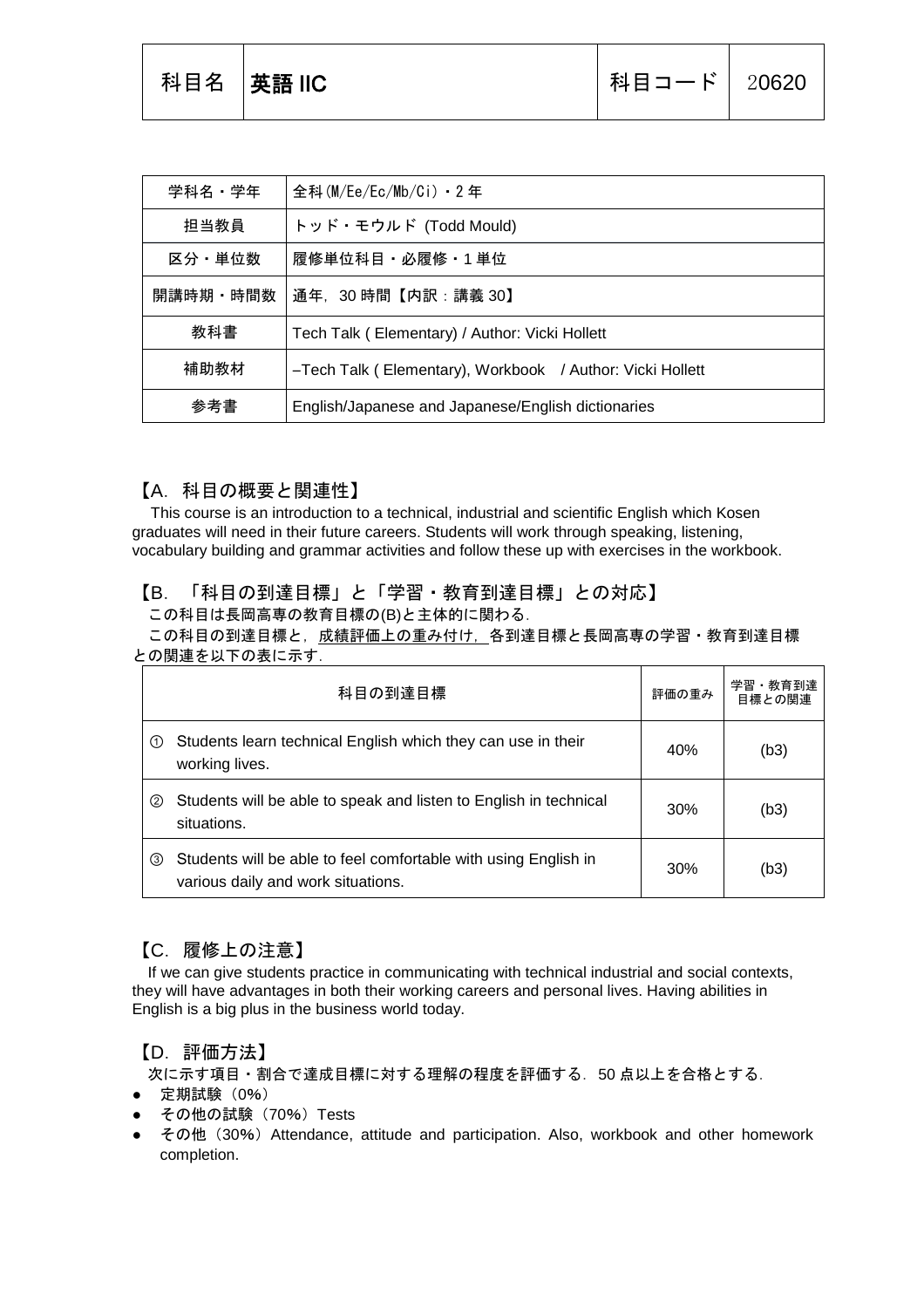| 学科名・学年   | 全科(M/Ee/Ec/Mb/Ci) · 2 年                                   |  |
|----------|-----------------------------------------------------------|--|
| 担当教員     | トッド・モウルド (Todd Mould)                                     |  |
| 区分・単位数   | 履修単位科目 · 必履修 · 1 単位                                       |  |
| 開講時期・時間数 | 通年, 30時間【内訳:講義 30】                                        |  |
| 教科書      | Tech Talk (Elementary) / Author: Vicki Hollett            |  |
| 補助教材     | -Tech Talk (Elementary), Workbook / Author: Vicki Hollett |  |
| 参考書      | English/Japanese and Japanese/English dictionaries        |  |

# 【A.科目の概要と関連性】

This course is an introduction to a technical, industrial and scientific English which Kosen graduates will need in their future careers. Students will work through speaking, listening, vocabulary building and grammar activities and follow these up with exercises in the workbook.

# 【B.「科目の到達目標」と「学習・教育到達目標」との対応】

この科目は長岡高専の教育目標の(B)と主体的に関わる.

この科目の到達目標と,成績評価上の重み付け,各到達目標と長岡高専の学習・教育到達目標 との関連を以下の表に示す.

|               | 科目の到達目標                                                                                               | 評価の重み | 学習・教育到達<br>目標との関連 |
|---------------|-------------------------------------------------------------------------------------------------------|-------|-------------------|
| $\circ$       | Students learn technical English which they can use in their<br>working lives.                        | 40%   | (b3)              |
| (2)           | Students will be able to speak and listen to English in technical<br>situations.                      | 30%   | (b3)              |
| $\circled{3}$ | Students will be able to feel comfortable with using English in<br>various daily and work situations. | 30%   | (b3)              |

# 【C.履修上の注意】

If we can give students practice in communicating with technical industrial and social contexts, they will have advantages in both their working careers and personal lives. Having abilities in English is a big plus in the business world today.

【D.評価方法】

次に示す項目・割合で達成目標に対する理解の程度を評価する.50 点以上を合格とする.

- 定期試験(0%)
- その他の試験(70%)Tests
- その他 (30%) Attendance, attitude and participation. Also, workbook and other homework completion.